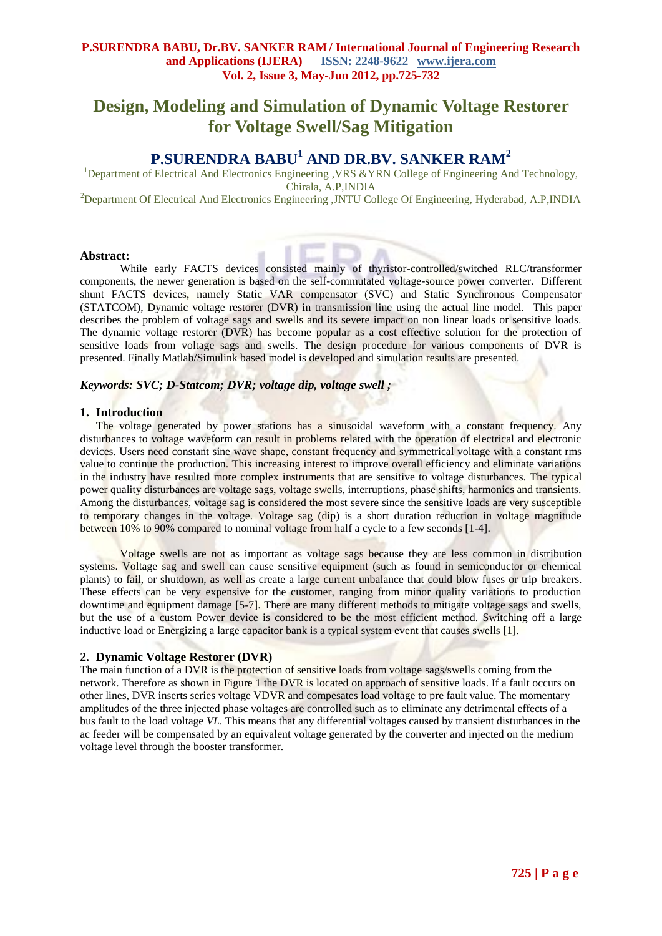# **Design, Modeling and Simulation of Dynamic Voltage Restorer for Voltage Swell/Sag Mitigation**

# **P.SURENDRA BABU<sup>1</sup> AND DR.BV. SANKER RAM<sup>2</sup>**

<sup>1</sup>Department of Electrical And Electronics Engineering ,VRS &YRN College of Engineering And Technology, Chirala, A.P,INDIA <sup>2</sup>Department Of Electrical And Electronics Engineering ,JNTU College Of Engineering, Hyderabad, A.P,INDIA

#### **Abstract:**

While early FACTS devices consisted mainly of thyristor-controlled/switched RLC/transformer components, the newer generation is based on the self-commutated voltage-source power converter. Different shunt FACTS devices, namely Static VAR compensator (SVC) and Static Synchronous Compensator (STATCOM), Dynamic voltage restorer (DVR) in transmission line using the actual line model. This paper describes the problem of voltage sags and swells and its severe impact on non linear loads or sensitive loads. The dynamic voltage restorer (DVR) has become popular as a cost effective solution for the protection of sensitive loads from voltage sags and swells. The design procedure for various components of DVR is presented. Finally Matlab/Simulink based model is developed and simulation results are presented.

# *Keywords: SVC; D-Statcom; DVR; voltage dip, voltage swell ;*

#### **1. Introduction**

The voltage generated by power stations has a sinusoidal waveform with a constant frequency. Any disturbances to voltage waveform can result in problems related with the operation of electrical and electronic devices. Users need constant sine wave shape, constant frequency and symmetrical voltage with a constant rms value to continue the production. This increasing interest to improve overall efficiency and eliminate variations in the industry have resulted more complex instruments that are sensitive to voltage disturbances. The typical power quality disturbances are voltage sags, voltage swells, interruptions, phase shifts, harmonics and transients. Among the disturbances, voltage sag is considered the most severe since the sensitive loads are very susceptible to temporary changes in the voltage. Voltage sag (dip) is a short duration reduction in voltage magnitude between 10% to 90% compared to nominal voltage from half a cycle to a few seconds [1-4].

Voltage swells are not as important as voltage sags because they are less common in distribution systems. Voltage sag and swell can cause sensitive equipment (such as found in semiconductor or chemical plants) to fail, or shutdown, as well as create a large current unbalance that could blow fuses or trip breakers. These effects can be very expensive for the customer, ranging from minor quality variations to production downtime and equipment damage [5-7]. There are many different methods to mitigate voltage sags and swells, but the use of a custom Power device is considered to be the most efficient method. Switching off a large inductive load or Energizing a large capacitor bank is a typical system event that causes swells [1].

## **2. Dynamic Voltage Restorer (DVR)**

The main function of a DVR is the protection of sensitive loads from voltage sags/swells coming from the network. Therefore as shown in Figure 1 the DVR is located on approach of sensitive loads. If a fault occurs on other lines, DVR inserts series voltage VDVR and compesates load voltage to pre fault value. The momentary amplitudes of the three injected phase voltages are controlled such as to eliminate any detrimental effects of a bus fault to the load voltage *VL*. This means that any differential voltages caused by transient disturbances in the ac feeder will be compensated by an equivalent voltage generated by the converter and injected on the medium voltage level through the booster transformer.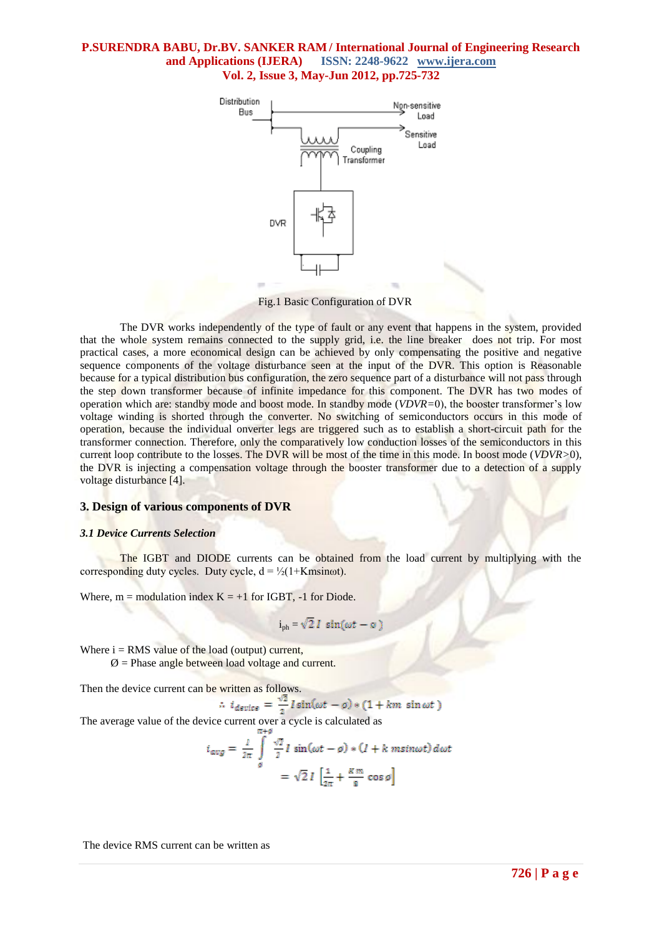

Fig.1 Basic Configuration of DVR

The DVR works independently of the type of fault or any event that happens in the system, provided that the whole system remains connected to the supply grid, i.e. the line breaker does not trip. For most practical cases, a more economical design can be achieved by only compensating the positive and negative sequence components of the voltage disturbance seen at the input of the DVR. This option is Reasonable because for a typical distribution bus configuration, the zero sequence part of a disturbance will not pass through the step down transformer because of infinite impedance for this component. The DVR has two modes of operation which are: standby mode and boost mode. In standby mode (*VDVR=*0), the booster transformer's low voltage winding is shorted through the converter. No switching of semiconductors occurs in this mode of operation, because the individual onverter legs are triggered such as to establish a short-circuit path for the transformer connection. Therefore, only the comparatively low conduction losses of the semiconductors in this current loop contribute to the losses. The DVR will be most of the time in this mode. In boost mode (*VDVR>*0), the DVR is injecting a compensation voltage through the booster transformer due to a detection of a supply voltage disturbance [4].

## **3. Design of various components of DVR**

#### *3.1 Device Currents Selection*

The IGBT and DIODE currents can be obtained from the load current by multiplying with the corresponding duty cycles. Duty cycle,  $d = \frac{1}{2}(1 + K \text{msinot}).$ 

Where,  $m = \text{modulation index } K = +1$  for IGBT, -1 for Diode.

$$
i_{ph} = \sqrt{2} I \sin(\omega t - \phi)
$$

Where  $i = RMS$  value of the load (output) current,  $\emptyset$  = Phase angle between load voltage and current.

Then the device current can be written as follows.

$$
i_{\text{device}} = \frac{\sqrt{2}}{2} I \sin(\omega t - \varphi) * (1 + km \sin \omega t)
$$

The average value of the device current over a cycle is calculated as

$$
i_{avg} = \frac{1}{2\pi} \int_{\theta}^{\pi} \frac{\sqrt{2}}{2} I \sin(\omega t - \theta) * (I + k \text{ msin}\omega t) d\omega t
$$

$$
= \sqrt{2} I \left[ \frac{1}{2\pi} + \frac{Km}{8} \cos \theta \right]
$$

The device RMS current can be written as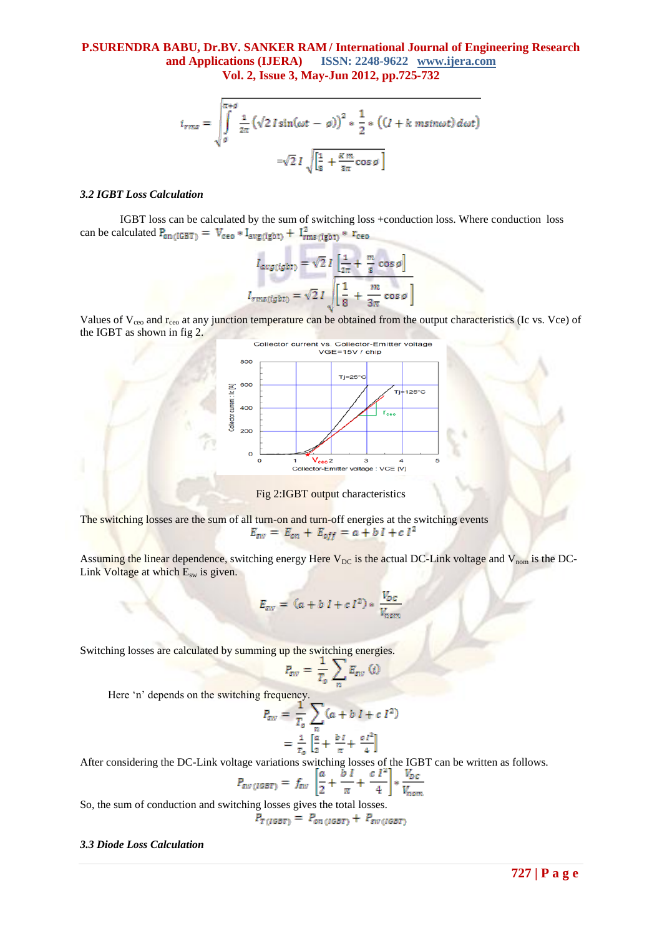$$
i_{rms} = \sqrt{\int_{g}^{\pi+\theta} \frac{1}{2\pi} \left(\sqrt{2} \, I \sin(\omega t - \varphi)\right)^2 \ast \frac{1}{2} \ast \left((I + k \, m\sin\omega t)\, d\omega t\right)}
$$

$$
= \sqrt{2} \, I \sqrt{\left[\frac{1}{8} + \frac{R \, m}{3\pi} \cos\varphi\right]}
$$

#### *3.2 IGBT Loss Calculation*

IGBT loss can be calculated by the sum of switching loss +conduction loss. Where conduction loss can be calculated  $P_{on (IGBT)} = V_{ceo} * I_{avg (igbt)} + I_{rms (igbt)}^2 * r_{ceo}$ 

$$
I_{avg(jgt)} = \sqrt{2} I \left[ \frac{1}{2\pi} + \frac{m}{g} \cos \theta \right]
$$

$$
I_{rms(jgt)} = \sqrt{2} I \sqrt{\left[ \frac{1}{8} + \frac{m}{3\pi} \cos \theta \right]}
$$

Values of  $V_{ceo}$  and  $r_{ceo}$  at any junction temperature can be obtained from the output characteristics (Ic vs. Vce) of the IGBT as shown in fig 2.



Fig 2:IGBT output characteristics

The switching losses are the sum of all turn-on and turn-off energies at the switching events<br> $E_{sw} = E_{on} + E_{off} = a + b I + c I^2$ 

Assuming the linear dependence, switching energy Here  $V_{DC}$  is the actual DC-Link voltage and  $V_{nom}$  is the DC-Link Voltage at which  $E_{sw}$  is given.

$$
E_{sw} = (a + b I + c I^2) * \frac{V_{DC}}{V_{nom}}
$$

Switching losses are calculated by summing up the switching energies.

$$
P_{\rm sw} = \frac{1}{T_o} \sum_n E_{\rm sw} \ (i
$$

Here 'n' depends on the switching frequency.

$$
P_{\text{sw}} = \frac{1}{T_o} \sum_{n} (a + b \ I + c \ I^2)
$$
  
= 
$$
\frac{1}{T_o} \left[ \frac{a}{2} + \frac{b \ I}{\pi} + \frac{c \ I^2}{4} \right]
$$

After considering the DC-Link voltage variations switching losses of the IGBT can be written as follows.

$$
P_{\text{sw}(IGBT)} = f_{\text{sw}} \left[ \frac{a}{2} + \frac{b}{\pi} + \frac{c}{4} \right] * \frac{V_{DC}}{V_{\text{nom}}}
$$

So, the sum of conduction and switching losses gives the total losses.

$$
P_{T(iGBT)} = P_{on(iGBT)} + P_{sw(iGBT)}
$$

#### *3.3 Diode Loss Calculation*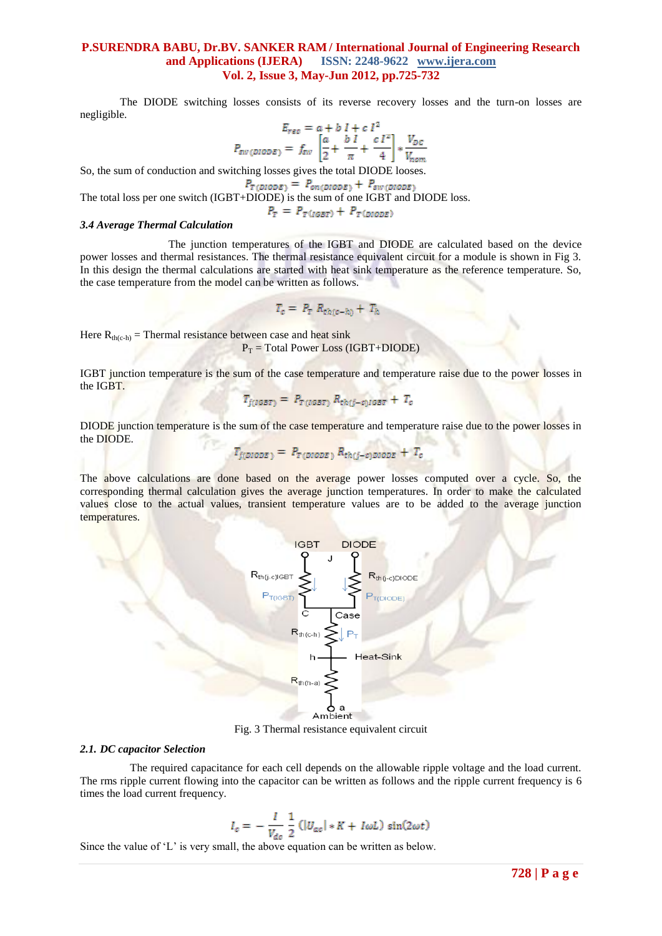The DIODE switching losses consists of its reverse recovery losses and the turn-on losses are negligible.

$$
E_{rec} = a + b I + c I^2
$$
  

$$
P_{sw(DIODE)} = f_{sw} \left[ \frac{a}{2} + \frac{b I}{\pi} + \frac{c I^2}{4} \right] * \frac{V_{DC}}{V_{nom}}
$$

So, the sum of conduction and switching losses gives the total DIODE looses.

$$
P_{T(DIODE)} = P_{on(DIODE)} + P_{sw(DIODE)}
$$

The total loss per one switch (IGBT+DIODE) is the sum of one IGBT and DIODE loss.

 $P_T = P_{T(iGBT)} + P_{T(DIODE)}$ 

#### *3.4 Average Thermal Calculation*

The junction temperatures of the IGBT and DIODE are calculated based on the device power losses and thermal resistances. The thermal resistance equivalent circuit for a module is shown in Fig 3. In this design the thermal calculations are started with heat sink temperature as the reference temperature. So, the case temperature from the model can be written as follows.

$$
T_c = P_T R_{th(c-h)} + T_h
$$

Here  $R_{th(c-h)}$  = Thermal resistance between case and heat sink

 $P_T$  = Total Power Loss (IGBT+DIODE)

IGBT junction temperature is the sum of the case temperature and temperature raise due to the power losses in the IGBT.

$$
T_{j(iGBT)} = P_{T(iGBT)} R_{th(j-c)iGBT} + T_c
$$

DIODE junction temperature is the sum of the case temperature and temperature raise due to the power losses in the DIODE.

$$
T_{j(DDDE)} = P_{T(DIDDE)} R_{th(j-c)DIDDE} + T_c
$$

The above calculations are done based on the average power losses computed over a cycle. So, the corresponding thermal calculation gives the average junction temperatures. In order to make the calculated values close to the actual values, transient temperature values are to be added to the average junction temperatures.



Fig. 3 Thermal resistance equivalent circuit

#### *2.1. DC capacitor Selection*

The required capacitance for each cell depends on the allowable ripple voltage and the load current. The rms ripple current flowing into the capacitor can be written as follows and the ripple current frequency is 6 times the load current frequency.

$$
I_c = -\frac{I}{V_{dc}} \frac{1}{2} \left( |U_{ac}| * K + I \omega L \right) \sin(2\omega t)
$$

Since the value of  $L'$  is very small, the above equation can be written as below.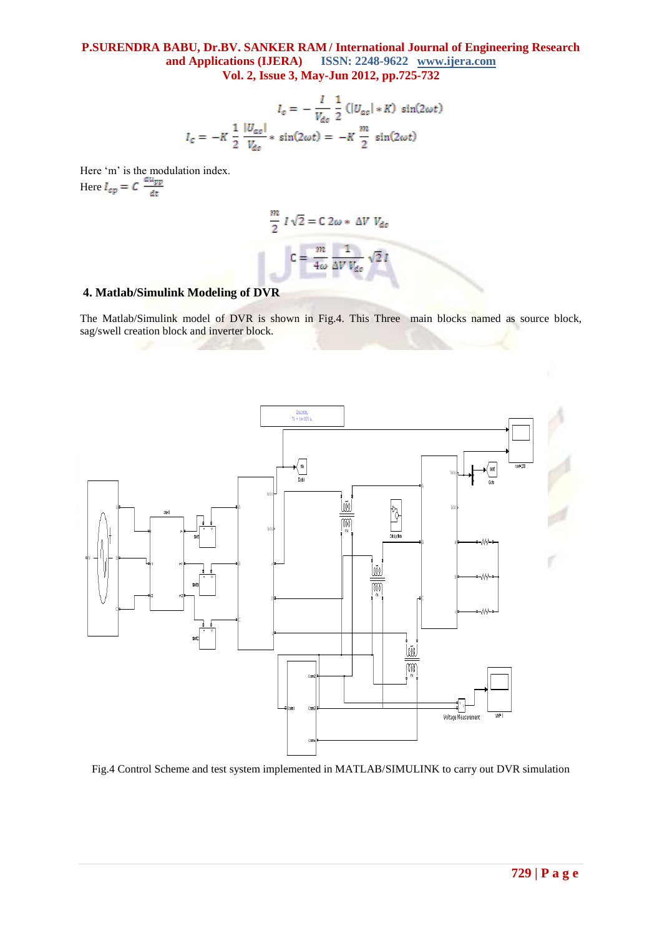$$
I_c = -\frac{I}{V_{dc}} \frac{1}{2} \left( |U_{ac}| * K \right) \sin(2\omega t)
$$

$$
I_c = -K \frac{1}{2} \frac{|U_{ac}|}{V_{dc}} * \sin(2\omega t) = -K \frac{m}{2} \sin(2\omega t)
$$

Here 'm' is the modulation index. Here

$$
\frac{m}{2} I \sqrt{2} = C 2\omega * \Delta V V_{dc}
$$

$$
C = \frac{m}{4\omega} \frac{1}{\Delta V V_{dc}} \sqrt{2} I
$$

# **4. Matlab/Simulink Modeling of DVR**

The Matlab/Simulink model of DVR is shown in Fig.4. This Three main blocks named as source block, sag/swell creation block and inverter block.



Fig.4 Control Scheme and test system implemented in MATLAB/SIMULINK to carry out DVR simulation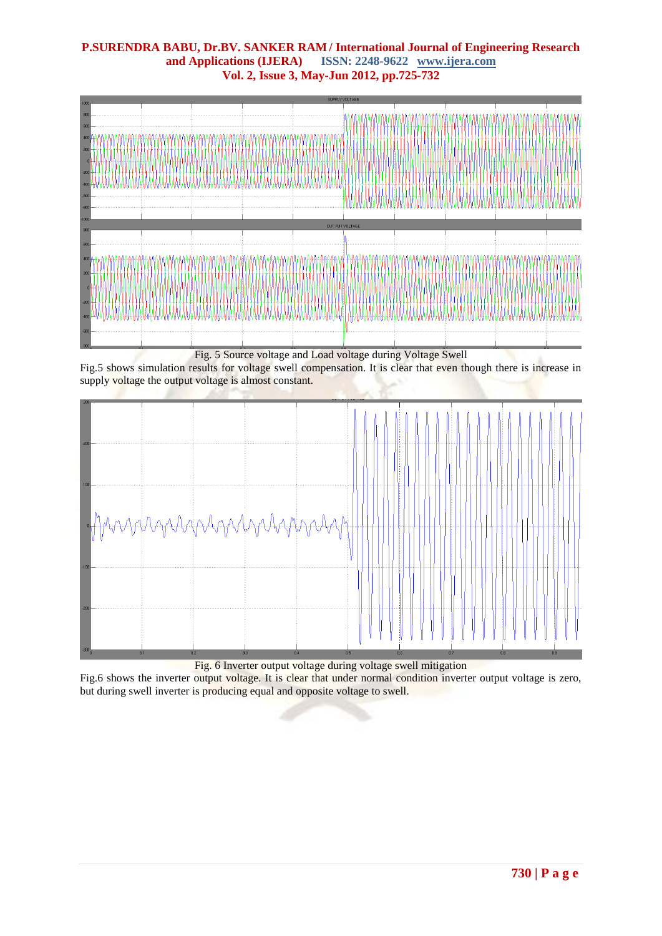

Fig.5 shows simulation results for voltage swell compensation. It is clear that even though there is increase in supply voltage the output voltage is almost constant.



Fig. 6 Inverter output voltage during voltage swell mitigation

Fig.6 shows the inverter output voltage. It is clear that under normal condition inverter output voltage is zero, but during swell inverter is producing equal and opposite voltage to swell.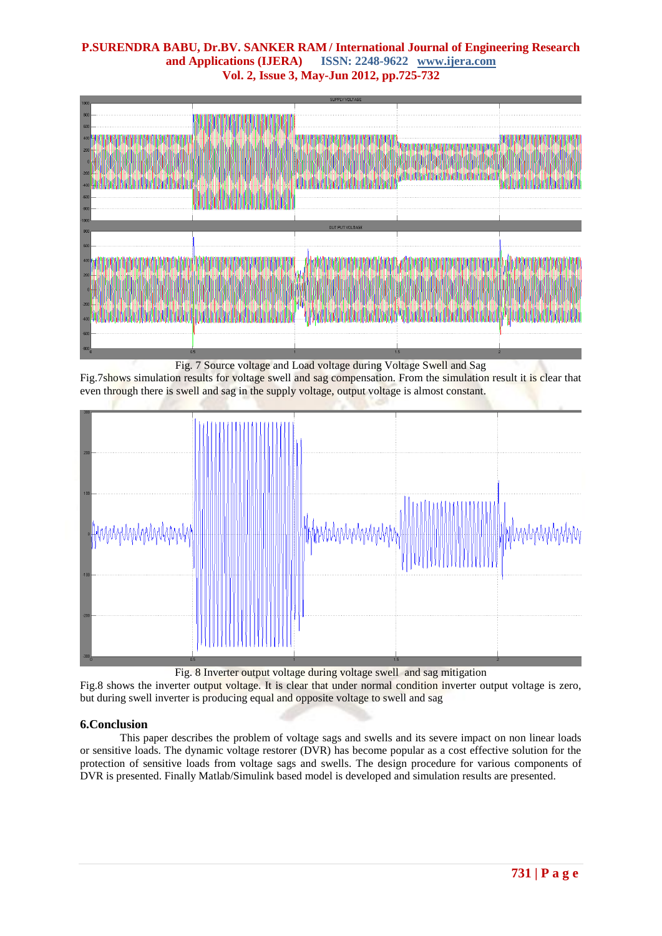

Fig. 7 Source voltage and Load voltage during Voltage Swell and Sag

Fig.7shows simulation results for voltage swell and sag compensation. From the simulation result it is clear that even through there is swell and sag in the supply voltage, output voltage is almost constant.



Fig. 8 Inverter output voltage during voltage swell and sag mitigation

Fig.8 shows the inverter output voltage. It is clear that under normal condition inverter output voltage is zero, but during swell inverter is producing equal and opposite voltage to swell and sag

# **6.Conclusion**

This paper describes the problem of voltage sags and swells and its severe impact on non linear loads or sensitive loads. The dynamic voltage restorer (DVR) has become popular as a cost effective solution for the protection of sensitive loads from voltage sags and swells. The design procedure for various components of DVR is presented. Finally Matlab/Simulink based model is developed and simulation results are presented.